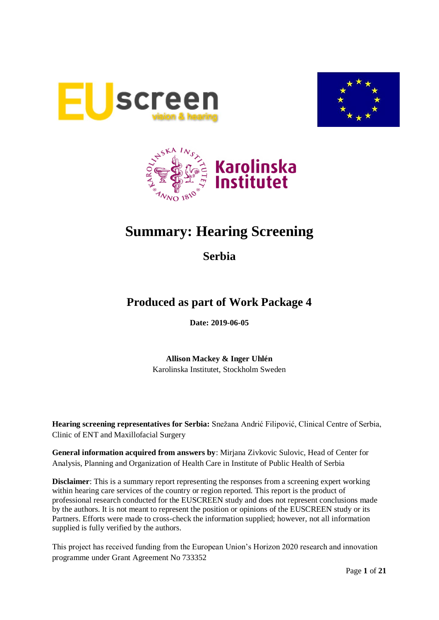





# **Summary: Hearing Screening**

**Serbia**

# **Produced as part of Work Package 4**

**Date: 2019-06-05**

**Allison Mackey & Inger Uhlén** Karolinska Institutet, Stockholm Sweden

**Hearing screening representatives for Serbia:** Snežana Andrić Filipović, Clinical Centre of Serbia, Clinic of ENT and Maxillofacial Surgery

**General information acquired from answers by**: Mirjana Zivkovic Sulovic, Head of Center for Analysis, Planning and Organization of Health Care in Institute of Public Health of Serbia

**Disclaimer**: This is a summary report representing the responses from a screening expert working within hearing care services of the country or region reported. This report is the product of professional research conducted for the EUSCREEN study and does not represent conclusions made by the authors. It is not meant to represent the position or opinions of the EUSCREEN study or its Partners. Efforts were made to cross-check the information supplied; however, not all information supplied is fully verified by the authors.

This project has received funding from the European Union's Horizon 2020 research and innovation programme under Grant Agreement No 733352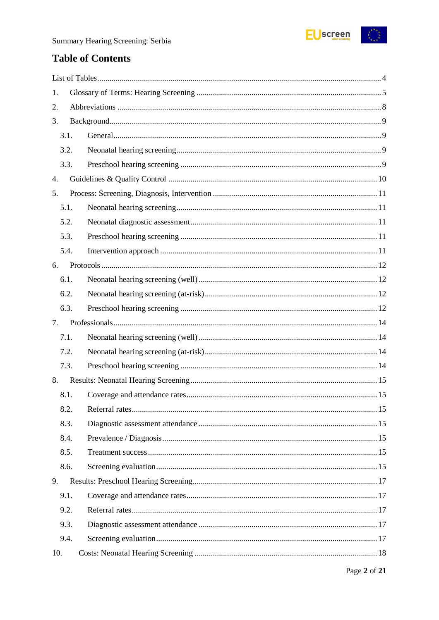

# **Table of Contents**

| 1.   |  |
|------|--|
| 2.   |  |
| 3.   |  |
| 3.1. |  |
| 3.2. |  |
| 3.3. |  |
| 4.   |  |
| 5.   |  |
| 5.1. |  |
| 5.2. |  |
| 5.3. |  |
| 5.4. |  |
| 6.   |  |
| 6.1. |  |
| 6.2. |  |
| 6.3. |  |
| 7.   |  |
| 7.1. |  |
| 7.2. |  |
| 7.3. |  |
| 8.   |  |
| 8.1. |  |
| 8.2. |  |
| 8.3. |  |
| 8.4. |  |
| 8.5. |  |
| 8.6. |  |
| 9.   |  |
| 9.1. |  |
| 9.2. |  |
| 9.3. |  |
| 9.4. |  |
|      |  |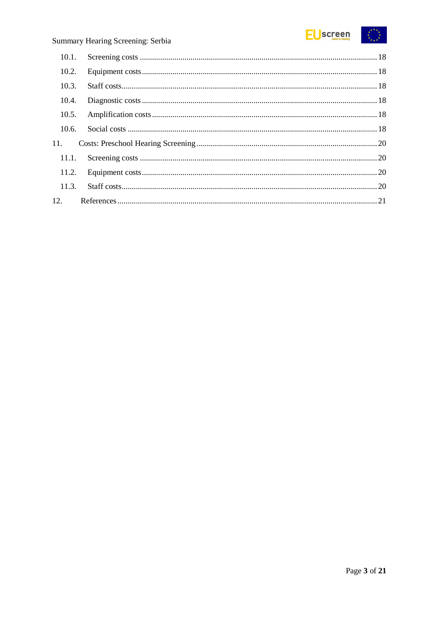

| 10.2. |  |
|-------|--|
| 10.3. |  |
| 10.4. |  |
| 10.5. |  |
| 10.6. |  |
| 11.   |  |
| 11.1. |  |
|       |  |
| 11.3. |  |
| 12.   |  |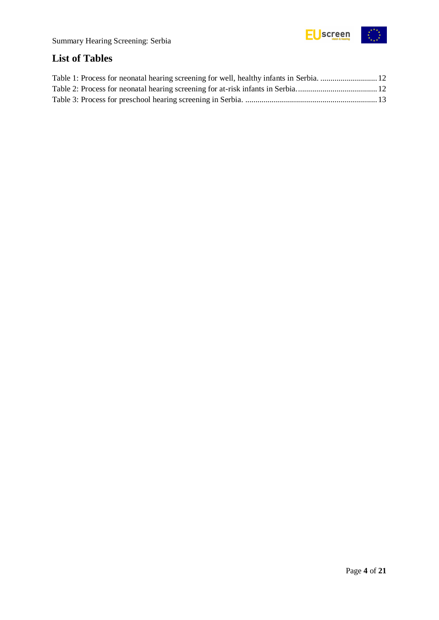

# <span id="page-3-0"></span>**List of Tables**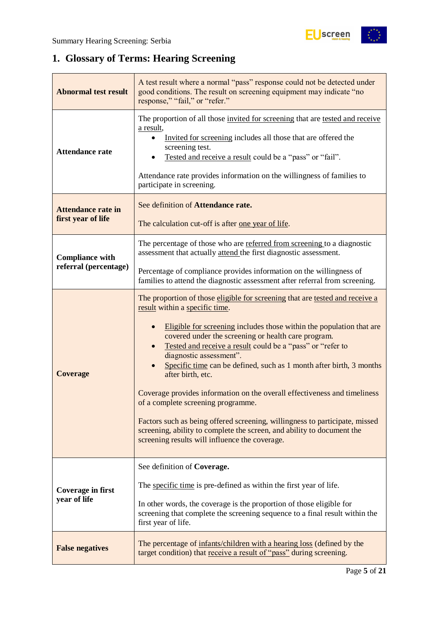$\frac{1}{2}$ 

# <span id="page-4-0"></span>**1. Glossary of Terms: Hearing Screening**

| <b>Abnormal test result</b>                     | A test result where a normal "pass" response could not be detected under<br>good conditions. The result on screening equipment may indicate "no<br>response," "fail," or "refer."                                                                                                                                                                                                                                                                                                                                                                                                                                                                                                                                                                                |  |  |  |  |
|-------------------------------------------------|------------------------------------------------------------------------------------------------------------------------------------------------------------------------------------------------------------------------------------------------------------------------------------------------------------------------------------------------------------------------------------------------------------------------------------------------------------------------------------------------------------------------------------------------------------------------------------------------------------------------------------------------------------------------------------------------------------------------------------------------------------------|--|--|--|--|
| <b>Attendance rate</b>                          | The proportion of all those invited for screening that are tested and receive<br>a result,<br>Invited for screening includes all those that are offered the<br>screening test.<br>Tested and receive a result could be a "pass" or "fail".<br>Attendance rate provides information on the willingness of families to<br>participate in screening.                                                                                                                                                                                                                                                                                                                                                                                                                |  |  |  |  |
| <b>Attendance rate in</b><br>first year of life | See definition of Attendance rate.<br>The calculation cut-off is after <u>one year of life</u> .                                                                                                                                                                                                                                                                                                                                                                                                                                                                                                                                                                                                                                                                 |  |  |  |  |
| <b>Compliance with</b>                          | The percentage of those who are referred from screening to a diagnostic<br>assessment that actually attend the first diagnostic assessment.                                                                                                                                                                                                                                                                                                                                                                                                                                                                                                                                                                                                                      |  |  |  |  |
| referral (percentage)                           | Percentage of compliance provides information on the willingness of<br>families to attend the diagnostic assessment after referral from screening.                                                                                                                                                                                                                                                                                                                                                                                                                                                                                                                                                                                                               |  |  |  |  |
| <b>Coverage</b>                                 | The proportion of those eligible for screening that are tested and receive a<br>result within a specific time.<br>Eligible for screening includes those within the population that are<br>covered under the screening or health care program.<br>Tested and receive a result could be a "pass" or "refer to<br>diagnostic assessment".<br>Specific time can be defined, such as 1 month after birth, 3 months<br>after birth, etc.<br>Coverage provides information on the overall effectiveness and timeliness<br>of a complete screening programme.<br>Factors such as being offered screening, willingness to participate, missed<br>screening, ability to complete the screen, and ability to document the<br>screening results will influence the coverage. |  |  |  |  |
| Coverage in first<br>year of life               | See definition of Coverage.<br>The specific time is pre-defined as within the first year of life.<br>In other words, the coverage is the proportion of those eligible for<br>screening that complete the screening sequence to a final result within the<br>first year of life.                                                                                                                                                                                                                                                                                                                                                                                                                                                                                  |  |  |  |  |
| <b>False negatives</b>                          | The percentage of infants/children with a hearing loss (defined by the<br>target condition) that receive a result of "pass" during screening.                                                                                                                                                                                                                                                                                                                                                                                                                                                                                                                                                                                                                    |  |  |  |  |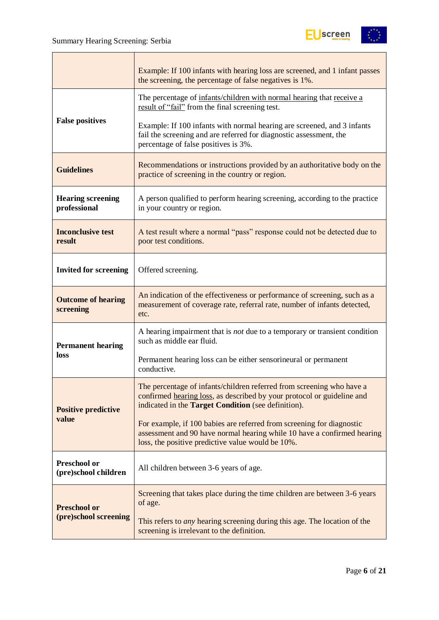

|                                             | Example: If 100 infants with hearing loss are screened, and 1 infant passes<br>the screening, the percentage of false negatives is 1%.                                                                 |  |  |  |  |
|---------------------------------------------|--------------------------------------------------------------------------------------------------------------------------------------------------------------------------------------------------------|--|--|--|--|
|                                             | The percentage of infants/children with normal hearing that receive a<br>result of "fail" from the final screening test.                                                                               |  |  |  |  |
| <b>False positives</b>                      | Example: If 100 infants with normal hearing are screened, and 3 infants<br>fail the screening and are referred for diagnostic assessment, the<br>percentage of false positives is 3%.                  |  |  |  |  |
| <b>Guidelines</b>                           | Recommendations or instructions provided by an authoritative body on the<br>practice of screening in the country or region.                                                                            |  |  |  |  |
| <b>Hearing screening</b><br>professional    | A person qualified to perform hearing screening, according to the practice<br>in your country or region.                                                                                               |  |  |  |  |
| <b>Inconclusive test</b><br>result          | A test result where a normal "pass" response could not be detected due to<br>poor test conditions.                                                                                                     |  |  |  |  |
| <b>Invited for screening</b>                | Offered screening.                                                                                                                                                                                     |  |  |  |  |
| <b>Outcome of hearing</b><br>screening      | An indication of the effectiveness or performance of screening, such as a<br>measurement of coverage rate, referral rate, number of infants detected,<br>etc.                                          |  |  |  |  |
| <b>Permanent hearing</b>                    | A hearing impairment that is <i>not</i> due to a temporary or transient condition<br>such as middle ear fluid.                                                                                         |  |  |  |  |
| loss                                        | Permanent hearing loss can be either sensorineural or permanent<br>conductive.                                                                                                                         |  |  |  |  |
| <b>Positive predictive</b>                  | The percentage of infants/children referred from screening who have a<br>confirmed hearing loss, as described by your protocol or guideline and<br>indicated in the Target Condition (see definition). |  |  |  |  |
| value                                       | For example, if 100 babies are referred from screening for diagnostic<br>assessment and 90 have normal hearing while 10 have a confirmed hearing<br>loss, the positive predictive value would be 10%.  |  |  |  |  |
| <b>Preschool or</b><br>(pre)school children | All children between 3-6 years of age.                                                                                                                                                                 |  |  |  |  |
| <b>Preschool or</b>                         | Screening that takes place during the time children are between 3-6 years<br>of age.                                                                                                                   |  |  |  |  |
| (pre)school screening                       | This refers to <i>any</i> hearing screening during this age. The location of the<br>screening is irrelevant to the definition.                                                                         |  |  |  |  |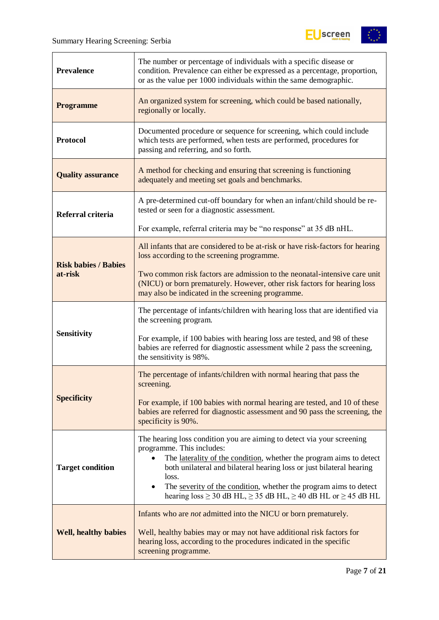

| <b>Prevalence</b>           | The number or percentage of individuals with a specific disease or<br>condition. Prevalence can either be expressed as a percentage, proportion,<br>or as the value per 1000 individuals within the same demographic.                                                                                                                                                                                                              |  |  |  |  |
|-----------------------------|------------------------------------------------------------------------------------------------------------------------------------------------------------------------------------------------------------------------------------------------------------------------------------------------------------------------------------------------------------------------------------------------------------------------------------|--|--|--|--|
| <b>Programme</b>            | An organized system for screening, which could be based nationally,<br>regionally or locally.                                                                                                                                                                                                                                                                                                                                      |  |  |  |  |
| <b>Protocol</b>             | Documented procedure or sequence for screening, which could include<br>which tests are performed, when tests are performed, procedures for<br>passing and referring, and so forth.                                                                                                                                                                                                                                                 |  |  |  |  |
| <b>Quality assurance</b>    | A method for checking and ensuring that screening is functioning<br>adequately and meeting set goals and benchmarks.                                                                                                                                                                                                                                                                                                               |  |  |  |  |
| Referral criteria           | A pre-determined cut-off boundary for when an infant/child should be re-<br>tested or seen for a diagnostic assessment.                                                                                                                                                                                                                                                                                                            |  |  |  |  |
|                             | For example, referral criteria may be "no response" at 35 dB nHL.                                                                                                                                                                                                                                                                                                                                                                  |  |  |  |  |
| <b>Risk babies / Babies</b> | All infants that are considered to be at-risk or have risk-factors for hearing<br>loss according to the screening programme.                                                                                                                                                                                                                                                                                                       |  |  |  |  |
| at-risk                     | Two common risk factors are admission to the neonatal-intensive care unit<br>(NICU) or born prematurely. However, other risk factors for hearing loss<br>may also be indicated in the screening programme.                                                                                                                                                                                                                         |  |  |  |  |
|                             | The percentage of infants/children with hearing loss that are identified via<br>the screening program.                                                                                                                                                                                                                                                                                                                             |  |  |  |  |
| <b>Sensitivity</b>          | For example, if 100 babies with hearing loss are tested, and 98 of these<br>babies are referred for diagnostic assessment while 2 pass the screening,<br>the sensitivity is 98%.                                                                                                                                                                                                                                                   |  |  |  |  |
|                             | The percentage of infants/children with normal hearing that pass the<br>screening.                                                                                                                                                                                                                                                                                                                                                 |  |  |  |  |
| <b>Specificity</b>          | For example, if 100 babies with normal hearing are tested, and 10 of these<br>babies are referred for diagnostic assessment and 90 pass the screening, the<br>specificity is 90%.                                                                                                                                                                                                                                                  |  |  |  |  |
| <b>Target condition</b>     | The hearing loss condition you are aiming to detect via your screening<br>programme. This includes:<br>The laterality of the condition, whether the program aims to detect<br>$\bullet$<br>both unilateral and bilateral hearing loss or just bilateral hearing<br>loss.<br>The severity of the condition, whether the program aims to detect<br>hearing loss $\geq$ 30 dB HL, $\geq$ 35 dB HL, $\geq$ 40 dB HL or $\geq$ 45 dB HL |  |  |  |  |
| <b>Well, healthy babies</b> | Infants who are <i>not</i> admitted into the NICU or born prematurely.<br>Well, healthy babies may or may not have additional risk factors for<br>hearing loss, according to the procedures indicated in the specific<br>screening programme.                                                                                                                                                                                      |  |  |  |  |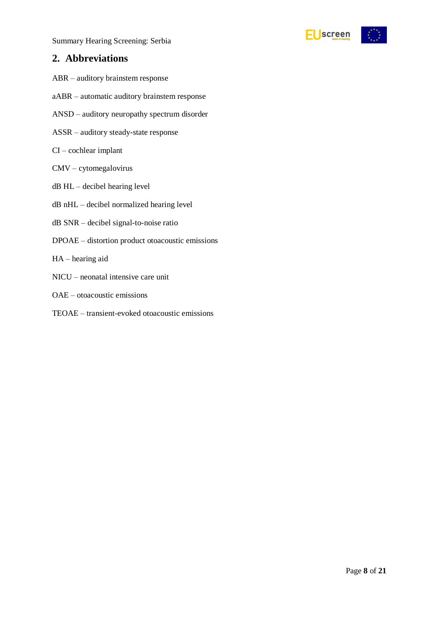### <span id="page-7-0"></span>**2. Abbreviations**

- ABR auditory brainstem response
- aABR automatic auditory brainstem response
- ANSD auditory neuropathy spectrum disorder
- ASSR auditory steady-state response
- CI cochlear implant
- CMV cytomegalovirus
- dB HL decibel hearing level
- dB nHL decibel normalized hearing level
- dB SNR decibel signal-to-noise ratio
- DPOAE distortion product otoacoustic emissions
- HA hearing aid
- NICU neonatal intensive care unit
- OAE otoacoustic emissions
- TEOAE transient-evoked otoacoustic emissions

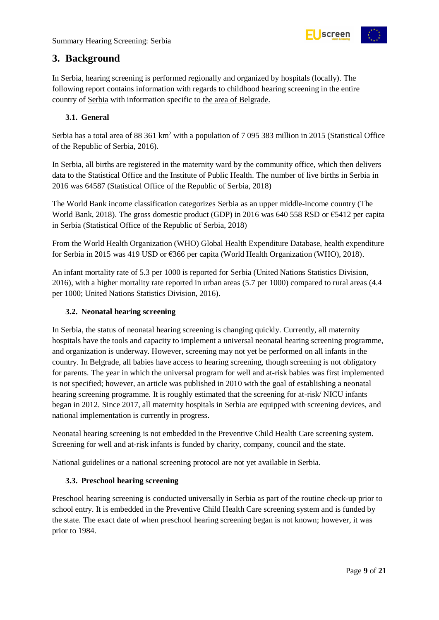

### <span id="page-8-0"></span>**3. Background**

In Serbia, hearing screening is performed regionally and organized by hospitals (locally). The following report contains information with regards to childhood hearing screening in the entire country of Serbia with information specific to the area of Belgrade.

#### <span id="page-8-1"></span>**3.1. General**

Serbia has a total area of 88 361 km<sup>2</sup> with a population of 7 095 383 million in 2015 (Statistical Office of the Republic of Serbia, 2016).

In Serbia, all births are registered in the maternity ward by the community office, which then delivers data to the Statistical Office and the Institute of Public Health. The number of live births in Serbia in 2016 was 64587 (Statistical Office of the Republic of Serbia, 2018)

The World Bank income classification categorizes Serbia as an upper middle-income country (The World Bank, 2018). The gross domestic product (GDP) in 2016 was 640 558 RSD or €5412 per capita in Serbia (Statistical Office of the Republic of Serbia, 2018)

From the World Health Organization (WHO) Global Health Expenditure Database, health expenditure for Serbia in 2015 was 419 USD or €366 per capita (World Health Organization (WHO), 2018).

An infant mortality rate of 5.3 per 1000 is reported for Serbia (United Nations Statistics Division, 2016), with a higher mortality rate reported in urban areas (5.7 per 1000) compared to rural areas (4.4 per 1000; United Nations Statistics Division, 2016).

#### <span id="page-8-2"></span>**3.2. Neonatal hearing screening**

In Serbia, the status of neonatal hearing screening is changing quickly. Currently, all maternity hospitals have the tools and capacity to implement a universal neonatal hearing screening programme, and organization is underway. However, screening may not yet be performed on all infants in the country. In Belgrade, all babies have access to hearing screening, though screening is not obligatory for parents. The year in which the universal program for well and at-risk babies was first implemented is not specified; however, an article was published in 2010 with the goal of establishing a neonatal hearing screening programme. It is roughly estimated that the screening for at-risk/ NICU infants began in 2012. Since 2017, all maternity hospitals in Serbia are equipped with screening devices, and national implementation is currently in progress.

Neonatal hearing screening is not embedded in the Preventive Child Health Care screening system. Screening for well and at-risk infants is funded by charity, company, council and the state.

National guidelines or a national screening protocol are not yet available in Serbia.

#### <span id="page-8-3"></span>**3.3. Preschool hearing screening**

Preschool hearing screening is conducted universally in Serbia as part of the routine check-up prior to school entry. It is embedded in the Preventive Child Health Care screening system and is funded by the state. The exact date of when preschool hearing screening began is not known; however, it was prior to 1984.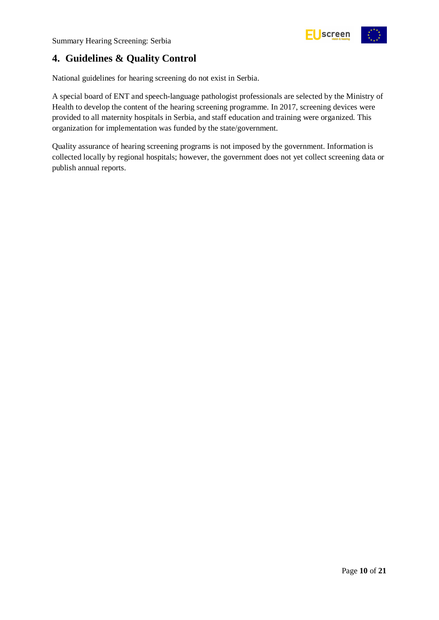

# <span id="page-9-0"></span>**4. Guidelines & Quality Control**

National guidelines for hearing screening do not exist in Serbia.

A special board of ENT and speech-language pathologist professionals are selected by the Ministry of Health to develop the content of the hearing screening programme. In 2017, screening devices were provided to all maternity hospitals in Serbia, and staff education and training were organized. This organization for implementation was funded by the state/government.

Quality assurance of hearing screening programs is not imposed by the government. Information is collected locally by regional hospitals; however, the government does not yet collect screening data or publish annual reports.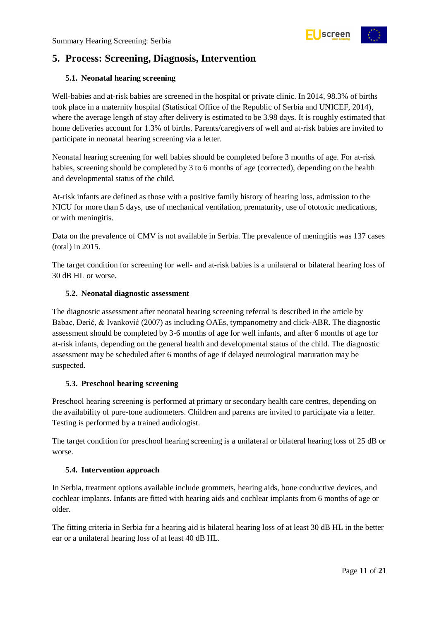

# <span id="page-10-0"></span>**5. Process: Screening, Diagnosis, Intervention**

#### <span id="page-10-1"></span>**5.1. Neonatal hearing screening**

Well-babies and at-risk babies are screened in the hospital or private clinic. In 2014, 98.3% of births took place in a maternity hospital (Statistical Office of the Republic of Serbia and UNICEF, 2014), where the average length of stay after delivery is estimated to be 3.98 days. It is roughly estimated that home deliveries account for 1.3% of births. Parents/caregivers of well and at-risk babies are invited to participate in neonatal hearing screening via a letter.

Neonatal hearing screening for well babies should be completed before 3 months of age. For at-risk babies, screening should be completed by 3 to 6 months of age (corrected), depending on the health and developmental status of the child.

At-risk infants are defined as those with a positive family history of hearing loss, admission to the NICU for more than 5 days, use of mechanical ventilation, prematurity, use of ototoxic medications, or with meningitis.

Data on the prevalence of CMV is not available in Serbia. The prevalence of meningitis was 137 cases (total) in 2015.

The target condition for screening for well- and at-risk babies is a unilateral or bilateral hearing loss of 30 dB HL or worse.

#### <span id="page-10-2"></span>**5.2. Neonatal diagnostic assessment**

The diagnostic assessment after neonatal hearing screening referral is described in the article by Babac, Đerić, & Ivanković (2007) as including OAEs, tympanometry and click-ABR. The diagnostic assessment should be completed by 3-6 months of age for well infants, and after 6 months of age for at-risk infants, depending on the general health and developmental status of the child. The diagnostic assessment may be scheduled after 6 months of age if delayed neurological maturation may be suspected.

#### <span id="page-10-3"></span>**5.3. Preschool hearing screening**

Preschool hearing screening is performed at primary or secondary health care centres, depending on the availability of pure-tone audiometers. Children and parents are invited to participate via a letter. Testing is performed by a trained audiologist.

The target condition for preschool hearing screening is a unilateral or bilateral hearing loss of 25 dB or worse.

#### <span id="page-10-4"></span>**5.4. Intervention approach**

In Serbia, treatment options available include grommets, hearing aids, bone conductive devices, and cochlear implants. Infants are fitted with hearing aids and cochlear implants from 6 months of age or older.

The fitting criteria in Serbia for a hearing aid is bilateral hearing loss of at least 30 dB HL in the better ear or a unilateral hearing loss of at least 40 dB HL.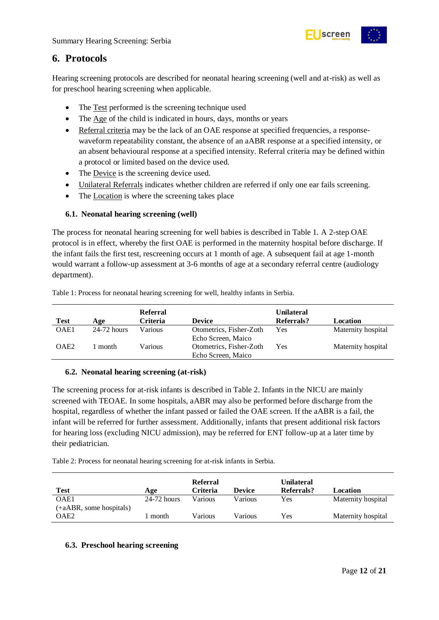

### <span id="page-11-0"></span>**6. Protocols**

Hearing screening protocols are described for neonatal hearing screening (well and at-risk) as well as for preschool hearing screening when applicable.

- The Test performed is the screening technique used
- The Age of the child is indicated in hours, days, months or years
- Referral criteria may be the lack of an OAE response at specified frequencies, a responsewaveform repeatability constant, the absence of an aABR response at a specified intensity, or an absent behavioural response at a specified intensity. Referral criteria may be defined within a protocol or limited based on the device used.
- The Device is the screening device used.
- Unilateral Referrals indicates whether children are referred if only one ear fails screening.
- The Location is where the screening takes place

#### <span id="page-11-1"></span>**6.1. Neonatal hearing screening (well)**

The process for neonatal hearing screening for well babies is described in Table 1. A 2-step OAE protocol is in effect, whereby the first OAE is performed in the maternity hospital before discharge. If the infant fails the first test, rescreening occurs at 1 month of age. A subsequent fail at age 1-month would warrant a follow-up assessment at 3-6 months of age at a secondary referral centre (audiology department).

| <b>Test</b>      | Age           | <b>Referral</b><br>Criteria | <b>Device</b>           | <b>Unilateral</b><br>Referrals? | Location           |
|------------------|---------------|-----------------------------|-------------------------|---------------------------------|--------------------|
| OAE1             | $24-72$ hours | Various                     | Otometrics, Fisher-Zoth | Yes                             | Maternity hospital |
|                  |               |                             | Echo Screen, Maico      |                                 |                    |
| OAE <sub>2</sub> | month         | Various                     | Otometrics, Fisher-Zoth | Yes                             | Maternity hospital |
|                  |               |                             | Echo Screen, Maico      |                                 |                    |

<span id="page-11-4"></span>Table 1: Process for neonatal hearing screening for well, healthy infants in Serbia.

#### <span id="page-11-2"></span>**6.2. Neonatal hearing screening (at-risk)**

The screening process for at-risk infants is described in Table 2. Infants in the NICU are mainly screened with TEOAE. In some hospitals, aABR may also be performed before discharge from the hospital, regardless of whether the infant passed or failed the OAE screen. If the aABR is a fail, the infant will be referred for further assessment. Additionally, infants that present additional risk factors for hearing loss (excluding NICU admission), may be referred for ENT follow-up at a later time by their pediatrician.

<span id="page-11-5"></span>Table 2: Process for neonatal hearing screening for at-risk infants in Serbia.

|                         |               | <b>Referral</b> |               | Unilateral |                    |
|-------------------------|---------------|-----------------|---------------|------------|--------------------|
| <b>Test</b>             | Age           | Criteria        | <b>Device</b> | Referrals? | Location           |
| OAE1                    | $24-72$ hours | Various         | Various       | Yes        | Maternity hospital |
| (+aABR, some hospitals) |               |                 |               |            |                    |
| OAE2                    | month         | Various         | Various       | Yes        | Maternity hospital |

#### <span id="page-11-3"></span>**6.3. Preschool hearing screening**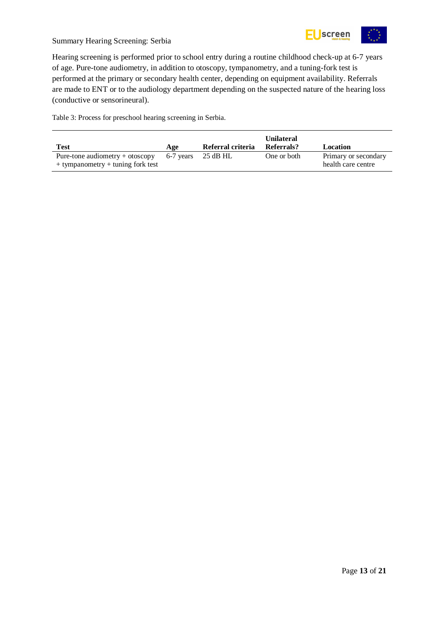

Hearing screening is performed prior to school entry during a routine childhood check-up at 6-7 years of age. Pure-tone audiometry, in addition to otoscopy, tympanometry, and a tuning-fork test is performed at the primary or secondary health center, depending on equipment availability. Referrals are made to ENT or to the audiology department depending on the suspected nature of the hearing loss (conductive or sensorineural).

<span id="page-12-0"></span>Table 3: Process for preschool hearing screening in Serbia.

| Test                                                                       | Age       | Referral criteria | <b>Unilateral</b><br>Referrals? | Location                                   |
|----------------------------------------------------------------------------|-----------|-------------------|---------------------------------|--------------------------------------------|
| Pure-tone audiometry $+$ otoscopy<br>$+$ tympanometry $+$ tuning fork test | 6-7 years | 25 dB HL          | One or both                     | Primary or secondary<br>health care centre |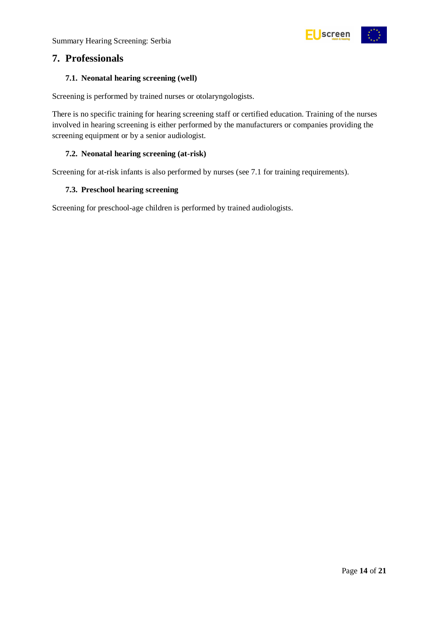

### <span id="page-13-0"></span>**7. Professionals**

#### <span id="page-13-1"></span>**7.1. Neonatal hearing screening (well)**

Screening is performed by trained nurses or otolaryngologists.

There is no specific training for hearing screening staff or certified education. Training of the nurses involved in hearing screening is either performed by the manufacturers or companies providing the screening equipment or by a senior audiologist.

#### <span id="page-13-2"></span>**7.2. Neonatal hearing screening (at-risk)**

Screening for at-risk infants is also performed by nurses (see 7.1 for training requirements).

#### <span id="page-13-3"></span>**7.3. Preschool hearing screening**

Screening for preschool-age children is performed by trained audiologists.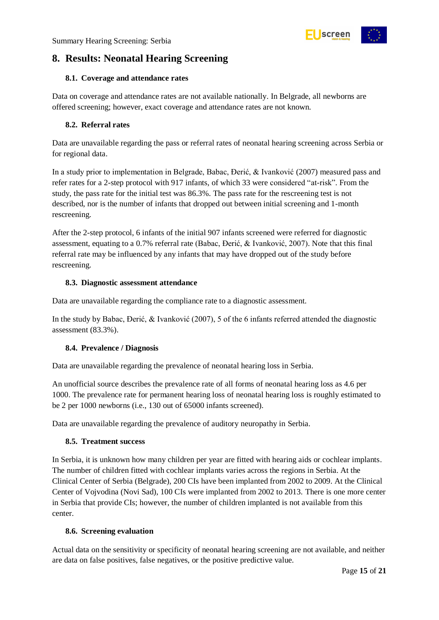

# <span id="page-14-0"></span>**8. Results: Neonatal Hearing Screening**

#### <span id="page-14-1"></span>**8.1. Coverage and attendance rates**

Data on coverage and attendance rates are not available nationally. In Belgrade, all newborns are offered screening; however, exact coverage and attendance rates are not known.

#### <span id="page-14-2"></span>**8.2. Referral rates**

Data are unavailable regarding the pass or referral rates of neonatal hearing screening across Serbia or for regional data.

In a study prior to implementation in Belgrade, Babac, Đerić, & Ivanković (2007) measured pass and refer rates for a 2-step protocol with 917 infants, of which 33 were considered "at-risk". From the study, the pass rate for the initial test was 86.3%. The pass rate for the rescreening test is not described, nor is the number of infants that dropped out between initial screening and 1-month rescreening.

After the 2-step protocol, 6 infants of the initial 907 infants screened were referred for diagnostic assessment, equating to a 0.7% referral rate (Babac, Đerić, & Ivanković, 2007). Note that this final referral rate may be influenced by any infants that may have dropped out of the study before rescreening.

#### <span id="page-14-3"></span>**8.3. Diagnostic assessment attendance**

Data are unavailable regarding the compliance rate to a diagnostic assessment.

In the study by Babac, Đerić, & Ivanković (2007), 5 of the 6 infants referred attended the diagnostic assessment (83.3%).

#### <span id="page-14-4"></span>**8.4. Prevalence / Diagnosis**

Data are unavailable regarding the prevalence of neonatal hearing loss in Serbia.

An unofficial source describes the prevalence rate of all forms of neonatal hearing loss as 4.6 per 1000. The prevalence rate for permanent hearing loss of neonatal hearing loss is roughly estimated to be 2 per 1000 newborns (i.e., 130 out of 65000 infants screened).

Data are unavailable regarding the prevalence of auditory neuropathy in Serbia.

#### <span id="page-14-5"></span>**8.5. Treatment success**

In Serbia, it is unknown how many children per year are fitted with hearing aids or cochlear implants. The number of children fitted with cochlear implants varies across the regions in Serbia. At the Clinical Center of Serbia (Belgrade), 200 CIs have been implanted from 2002 to 2009. At the Clinical Center of Vojvodina (Novi Sad), 100 CIs were implanted from 2002 to 2013. There is one more center in Serbia that provide CIs; however, the number of children implanted is not available from this center.

#### <span id="page-14-6"></span>**8.6. Screening evaluation**

Actual data on the sensitivity or specificity of neonatal hearing screening are not available, and neither are data on false positives, false negatives, or the positive predictive value.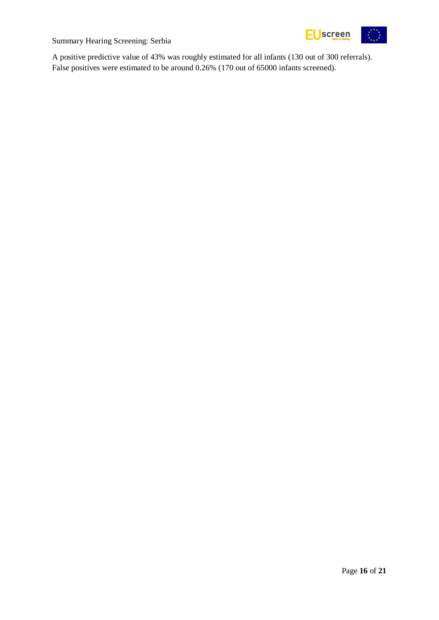

A positive predictive value of 43% was roughly estimated for all infants (130 out of 300 referrals). False positives were estimated to be around 0.26% (170 out of 65000 infants screened).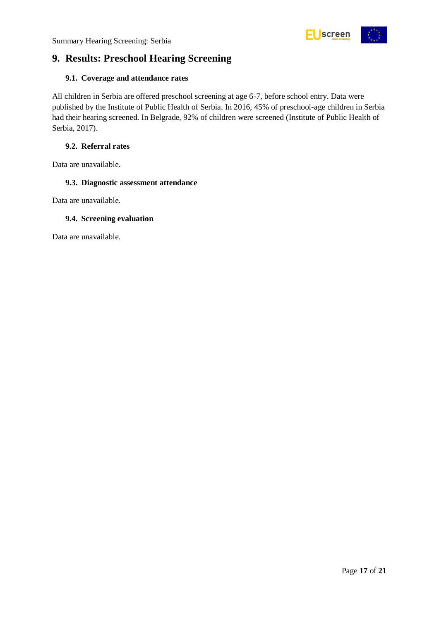

# <span id="page-16-0"></span>**9. Results: Preschool Hearing Screening**

#### <span id="page-16-1"></span>**9.1. Coverage and attendance rates**

All children in Serbia are offered preschool screening at age 6-7, before school entry. Data were published by the Institute of Public Health of Serbia. In 2016, 45% of preschool-age children in Serbia had their hearing screened. In Belgrade, 92% of children were screened (Institute of Public Health of Serbia, 2017).

#### <span id="page-16-2"></span>**9.2. Referral rates**

Data are unavailable.

#### <span id="page-16-3"></span>**9.3. Diagnostic assessment attendance**

Data are unavailable.

#### <span id="page-16-4"></span>**9.4. Screening evaluation**

Data are unavailable.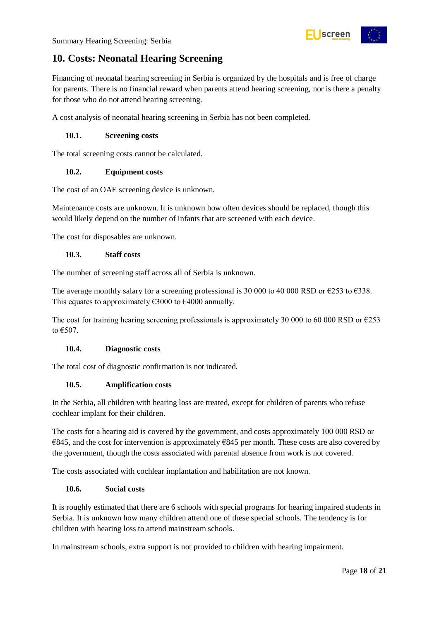

# <span id="page-17-0"></span>**10. Costs: Neonatal Hearing Screening**

Financing of neonatal hearing screening in Serbia is organized by the hospitals and is free of charge for parents. There is no financial reward when parents attend hearing screening, nor is there a penalty for those who do not attend hearing screening.

A cost analysis of neonatal hearing screening in Serbia has not been completed.

#### <span id="page-17-1"></span>**10.1. Screening costs**

The total screening costs cannot be calculated.

#### <span id="page-17-2"></span>**10.2. Equipment costs**

The cost of an OAE screening device is unknown.

Maintenance costs are unknown. It is unknown how often devices should be replaced, though this would likely depend on the number of infants that are screened with each device.

The cost for disposables are unknown.

#### <span id="page-17-3"></span>**10.3. Staff costs**

The number of screening staff across all of Serbia is unknown.

The average monthly salary for a screening professional is 30 000 to 40 000 RSD or  $\epsilon$ 253 to  $\epsilon$ 338. This equates to approximately  $\epsilon$ 3000 to  $\epsilon$ 4000 annually.

The cost for training hearing screening professionals is approximately 30 000 to 60 000 RSD or  $\epsilon$ 253 to  $€507$ .

#### <span id="page-17-4"></span>**10.4. Diagnostic costs**

The total cost of diagnostic confirmation is not indicated.

#### <span id="page-17-5"></span>**10.5. Amplification costs**

In the Serbia, all children with hearing loss are treated, except for children of parents who refuse cochlear implant for their children.

The costs for a hearing aid is covered by the government, and costs approximately 100 000 RSD or  $€845$ , and the cost for intervention is approximately  $€845$  per month. These costs are also covered by the government, though the costs associated with parental absence from work is not covered.

The costs associated with cochlear implantation and habilitation are not known.

#### <span id="page-17-6"></span>**10.6. Social costs**

It is roughly estimated that there are 6 schools with special programs for hearing impaired students in Serbia. It is unknown how many children attend one of these special schools. The tendency is for children with hearing loss to attend mainstream schools.

In mainstream schools, extra support is not provided to children with hearing impairment.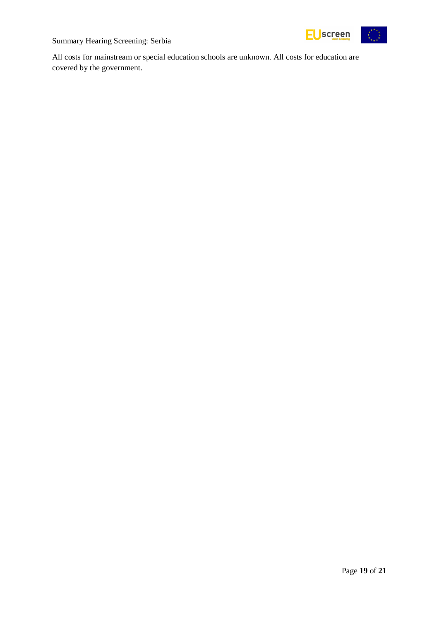

All costs for mainstream or special education schools are unknown. All costs for education are covered by the government.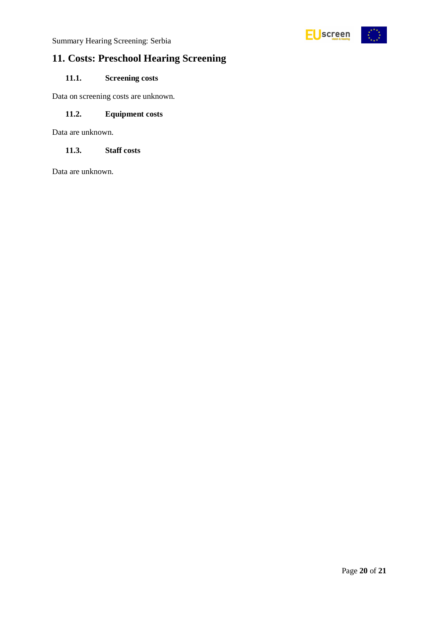

# <span id="page-19-0"></span>**11. Costs: Preschool Hearing Screening**

#### <span id="page-19-1"></span>**11.1. Screening costs**

Data on screening costs are unknown.

#### <span id="page-19-2"></span>**11.2. Equipment costs**

Data are unknown.

#### <span id="page-19-3"></span>**11.3. Staff costs**

Data are unknown.